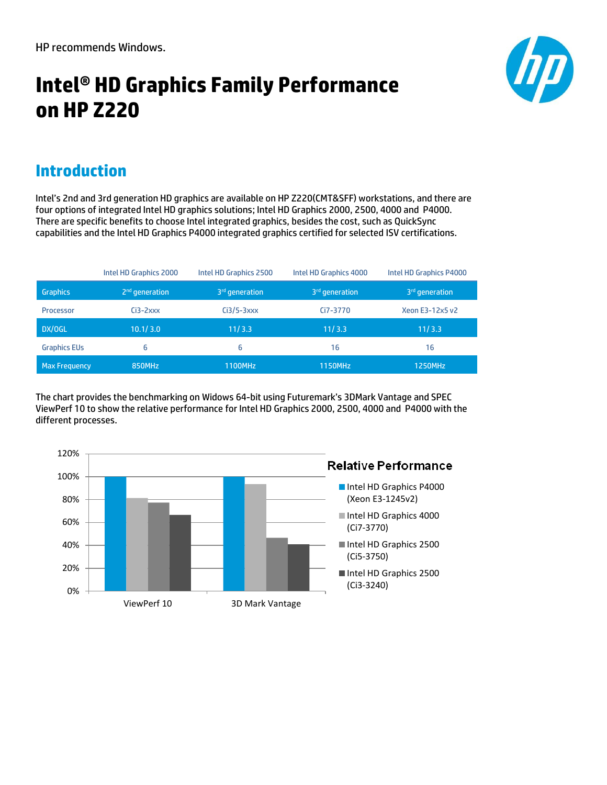# **Intel® HD Graphics Family Performance on HP Z220**



#### **Introduction**

Intel's 2nd and 3rd generation HD graphics are available on HP Z220(CMT&SFF) workstations, and there are four options of integrated Intel HD graphics solutions; Intel HD Graphics 2000, 2500, 4000 and P4000. There are specific benefits to choose Intel integrated graphics, besides the cost, such as QuickSync capabilities and the Intel HD Graphics P4000 integrated graphics certified for selected ISV certifications.

|                      | Intel HD Graphics 2000 | Intel HD Graphics 2500     | Intel HD Graphics 4000     | Intel HD Graphics P4000    |
|----------------------|------------------------|----------------------------|----------------------------|----------------------------|
| <b>Graphics</b>      | $2nd$ generation       | 3 <sup>rd</sup> generation | 3 <sup>rd</sup> generation | 3 <sup>rd</sup> generation |
| Processor            | $Ci3-2xxx$             | $Ci3/5-3xxx$               | Ci7-3770                   | Xeon E3-12x5 v2            |
| DX/OGL               | 10.1/3.0               | 11/3.3                     | 11/3.3                     | 11/3.3                     |
| <b>Graphics EUs</b>  | 6                      | 6                          | 16                         | 16                         |
| <b>Max Frequency</b> | 850MHz                 | 1100MHz                    | <b>1150MHz</b>             | 1250MHz                    |

The chart provides the benchmarking on Widows 64-bit using Futuremark's 3DMark Vantage and SPEC ViewPerf 10 to show the relative performance for Intel HD Graphics 2000, 2500, 4000 and P4000 with the different processes.

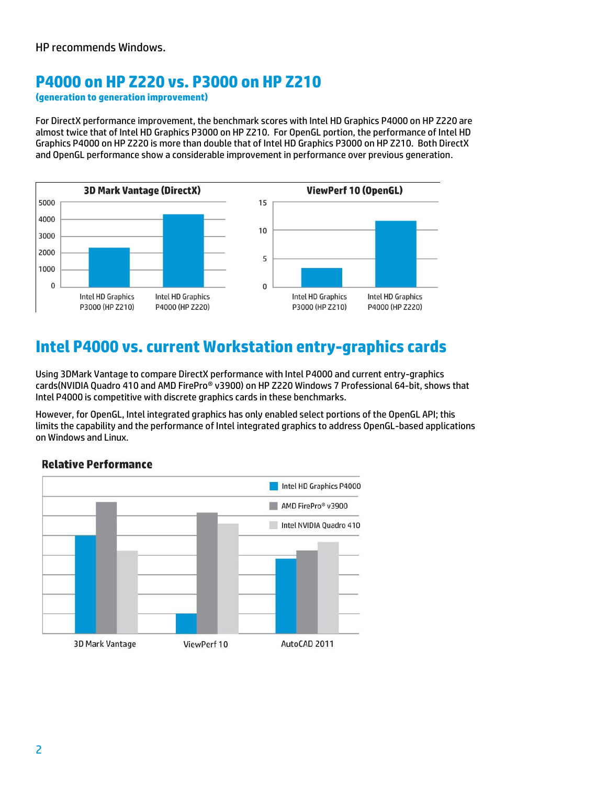#### **P4000 on HP Z220 vs. P3000 on HP Z210**

**(generation to generation improvement)**

For DirectX performance improvement, the benchmark scores with Intel HD Graphics P4000 on HP Z220 are almost twice that of Intel HD Graphics P3000 on HP Z210. For OpenGL portion, the performance of Intel HD Graphics P4000 on HP Z220 is more than double that of Intel HD Graphics P3000 on HP Z210. Both DirectX and OpenGL performance show a considerable improvement in performance over previous generation.



### **Intel P4000 vs. current Workstation entry-graphics cards**

Using 3DMark Vantage to compare DirectX performance with Intel P4000 and current entry-graphics cards(NVIDIA Quadro 410 and AMD FirePro® v3900) on HP Z220 Windows 7 Professional 64-bit, shows that Intel P4000 is competitive with discrete graphics cards in these benchmarks.

However, for OpenGL, Intel integrated graphics has only enabled select portions of the OpenGL API; this limits the capability and the performance of Intel integrated graphics to address OpenGL-based applications on Windows and Linux.

#### **Relative Performance**

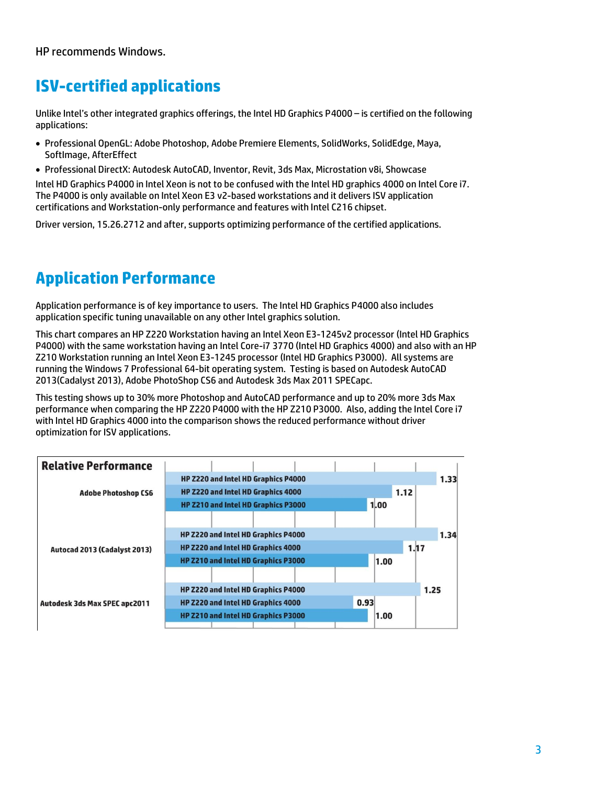### **ISV-certified applications**

Unlike Intel's other integrated graphics offerings, the Intel HD Graphics P4000 – is certified on the following applications:

- Professional OpenGL: Adobe Photoshop, Adobe Premiere Elements, SolidWorks, SolidEdge, Maya, SoftImage, AfterEffect
- Professional DirectX: Autodesk AutoCAD, Inventor, Revit, 3ds Max, Microstation v8i, Showcase

Intel HD Graphics P4000 in Intel Xeon is not to be confused with the Intel HD graphics 4000 on Intel Core i7. The P4000 is only available on Intel Xeon E3 v2-based workstations and it delivers ISV application certifications and Workstation-only performance and features with Intel C216 chipset.

Driver version, 15.26.2712 and after, supports optimizing performance of the certified applications.

## **Application Performance**

Application performance is of key importance to users. The Intel HD Graphics P4000 also includes application specific tuning unavailable on any other Intel graphics solution.

This chart compares an HP Z220 Workstation having an Intel Xeon E3-1245v2 processor (Intel HD Graphics P4000) with the same workstation having an Intel Core-i7 3770 (Intel HD Graphics 4000) and also with an HP Z210 Workstation running an Intel Xeon E3-1245 processor (Intel HD Graphics P3000). All systems are running the Windows 7 Professional 64-bit operating system. Testing is based on Autodesk AutoCAD 2013(Cadalyst 2013), Adobe PhotoShop CS6 and Autodesk 3ds Max 2011 SPECapc.

This testing shows up to 30% more Photoshop and AutoCAD performance and up to 20% more 3ds Max performance when comparing the HP Z220 P4000 with the HP Z210 P3000. Also, adding the Intel Core i7 with Intel HD Graphics 4000 into the comparison shows the reduced performance without driver optimization for ISV applications.

| <b>Relative Performance</b>          |                                     |      |  |
|--------------------------------------|-------------------------------------|------|--|
|                                      | HP Z220 and Intel HD Graphics P4000 |      |  |
| <b>Adobe Photoshop CS6</b>           | HP Z220 and Intel HD Graphics 4000  | 1.12 |  |
|                                      | HP Z210 and Intel HD Graphics P3000 | 1.00 |  |
|                                      |                                     |      |  |
|                                      | HP Z220 and Intel HD Graphics P4000 | 1.34 |  |
| Autocad 2013 (Cadalyst 2013)         | HP Z220 and Intel HD Graphics 4000  | 1.17 |  |
|                                      | HP Z210 and Intel HD Graphics P3000 | 1.00 |  |
|                                      |                                     |      |  |
|                                      | HP Z220 and Intel HD Graphics P4000 | 1.25 |  |
| <b>Autodesk 3ds Max SPEC apc2011</b> | HP Z220 and Intel HD Graphics 4000  | 0.93 |  |
|                                      | HP Z210 and Intel HD Graphics P3000 | 1.00 |  |
|                                      |                                     |      |  |